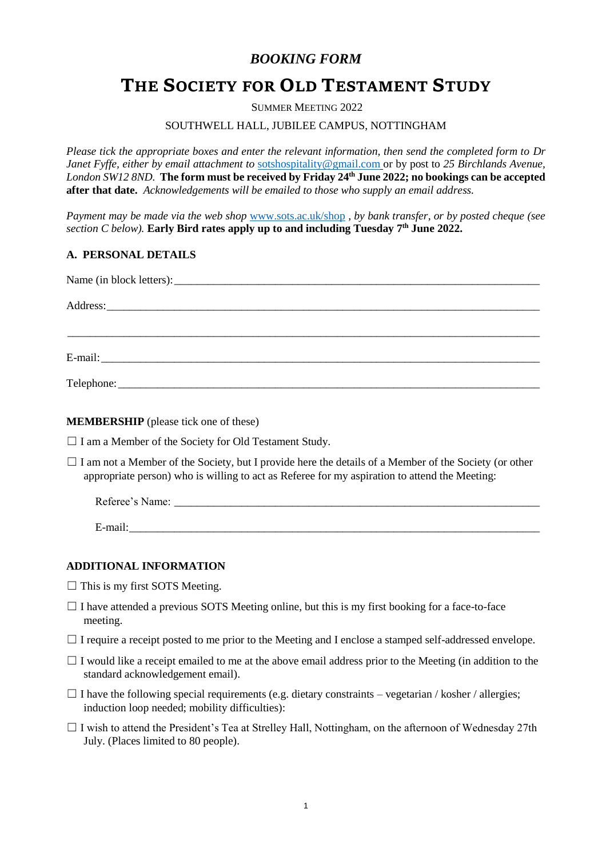## *BOOKING FORM*

# **THE SOCIETY FOR OLD TESTAMENT STUDY**

SUMMER MEETING 2022

## SOUTHWELL HALL, JUBILEE CAMPUS, NOTTINGHAM

*Please tick the appropriate boxes and enter the relevant information, then send the completed form to Dr Janet Fyffe, either by email attachment to* [sotshospitality@gmail.com](mailto:sotshospitality@gmail.com) or by post to *25 Birchlands Avenue, London SW12 8ND.* **The form must be received by Friday 24th June 2022; no bookings can be accepted after that date.** *Acknowledgements will be emailed to those who supply an email address.* 

*Payment may be made via the web shop* [www.sots.ac.uk/shop](http://www.sots.ac.uk/shop) *, by bank transfer, or by posted cheque (see section C below).* **Early Bird rates apply up to and including Tuesday 7 th June 2022.**

## **A. PERSONAL DETAILS**

**MEMBERSHIP** (please tick one of these)

 $\Box$  I am a Member of the Society for Old Testament Study.

 $\Box$  I am not a Member of the Society, but I provide here the details of a Member of the Society (or other appropriate person) who is willing to act as Referee for my aspiration to attend the Meeting:

| Referee's Name: |  |  |  |
|-----------------|--|--|--|
|                 |  |  |  |
| E-mail:         |  |  |  |

## **ADDITIONAL INFORMATION**

- $\Box$  This is my first SOTS Meeting.
- $\Box$  I have attended a previous SOTS Meeting online, but this is my first booking for a face-to-face meeting.
- $\Box$  I require a receipt posted to me prior to the Meeting and I enclose a stamped self-addressed envelope.
- $\Box$  I would like a receipt emailed to me at the above email address prior to the Meeting (in addition to the standard acknowledgement email).
- $\Box$  I have the following special requirements (e.g. dietary constraints vegetarian / kosher / allergies; induction loop needed; mobility difficulties):
- □ I wish to attend the President's Tea at Strelley Hall, Nottingham, on the afternoon of Wednesday 27th July. (Places limited to 80 people).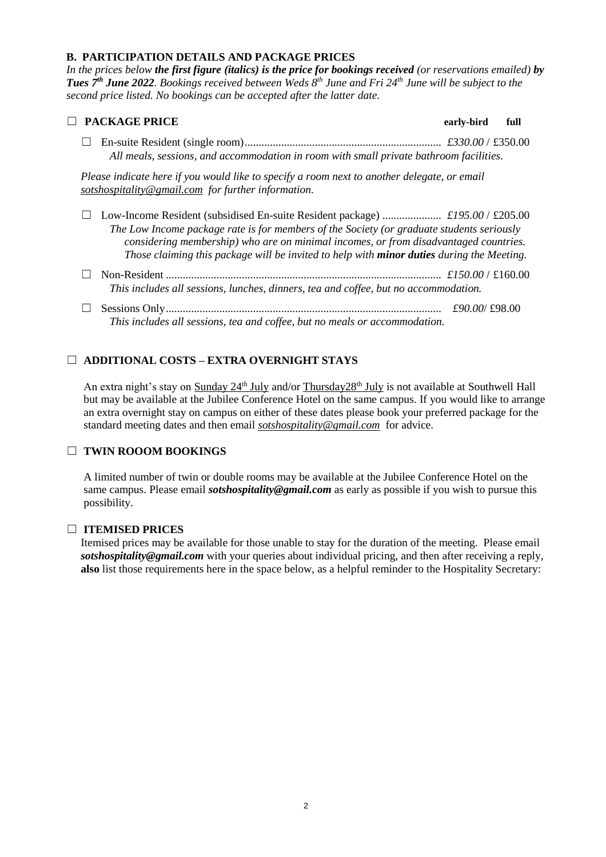## **B. PARTICIPATION DETAILS AND PACKAGE PRICES**

*In the prices below the first figure (italics) is the price for bookings received (or reservations emailed) by Tues 7 th June 2022. Bookings received between Weds 8 th June and Fri 24th June will be subject to the second price listed. No bookings can be accepted after the latter date.*

| <b>PACKAGE PRICE</b>                                                                                                                                                                                                                                                                  | early-bird    | full |
|---------------------------------------------------------------------------------------------------------------------------------------------------------------------------------------------------------------------------------------------------------------------------------------|---------------|------|
| All meals, sessions, and accommodation in room with small private bathroom facilities.                                                                                                                                                                                                |               |      |
| Please indicate here if you would like to specify a room next to another delegate, or email<br>sotshospitality@gmail.com for further information.                                                                                                                                     |               |      |
| The Low Income package rate is for members of the Society (or graduate students seriously<br>considering membership) who are on minimal incomes, or from disadvantaged countries.<br>Those claiming this package will be invited to help with <b>minor duties</b> during the Meeting. |               |      |
| This includes all sessions, lunches, dinners, tea and coffee, but no accommodation.                                                                                                                                                                                                   |               |      |
| This includes all sessions, tea and coffee, but no meals or accommodation.                                                                                                                                                                                                            | £90,00/£98,00 |      |

## ☐ **ADDITIONAL COSTS – EXTRA OVERNIGHT STAYS**

An extra night's stay on Sunday 24<sup>th</sup> July and/or Thursday 28<sup>th</sup> July is not available at Southwell Hall but may be available at the Jubilee Conference Hotel on the same campus. If you would like to arrange an extra overnight stay on campus on either of these dates please book your preferred package for the standard meeting dates and then email *sotshospitality@gmail.com* for advice.

## ☐ **TWIN ROOOM BOOKINGS**

A limited number of twin or double rooms may be available at the Jubilee Conference Hotel on the same campus. Please email *sotshospitality@gmail.com* as early as possible if you wish to pursue this possibility.

## ☐ **ITEMISED PRICES**

Itemised prices may be available for those unable to stay for the duration of the meeting. Please email *sotshospitality@gmail.com* with your queries about individual pricing, and then after receiving a reply, **also** list those requirements here in the space below, as a helpful reminder to the Hospitality Secretary: